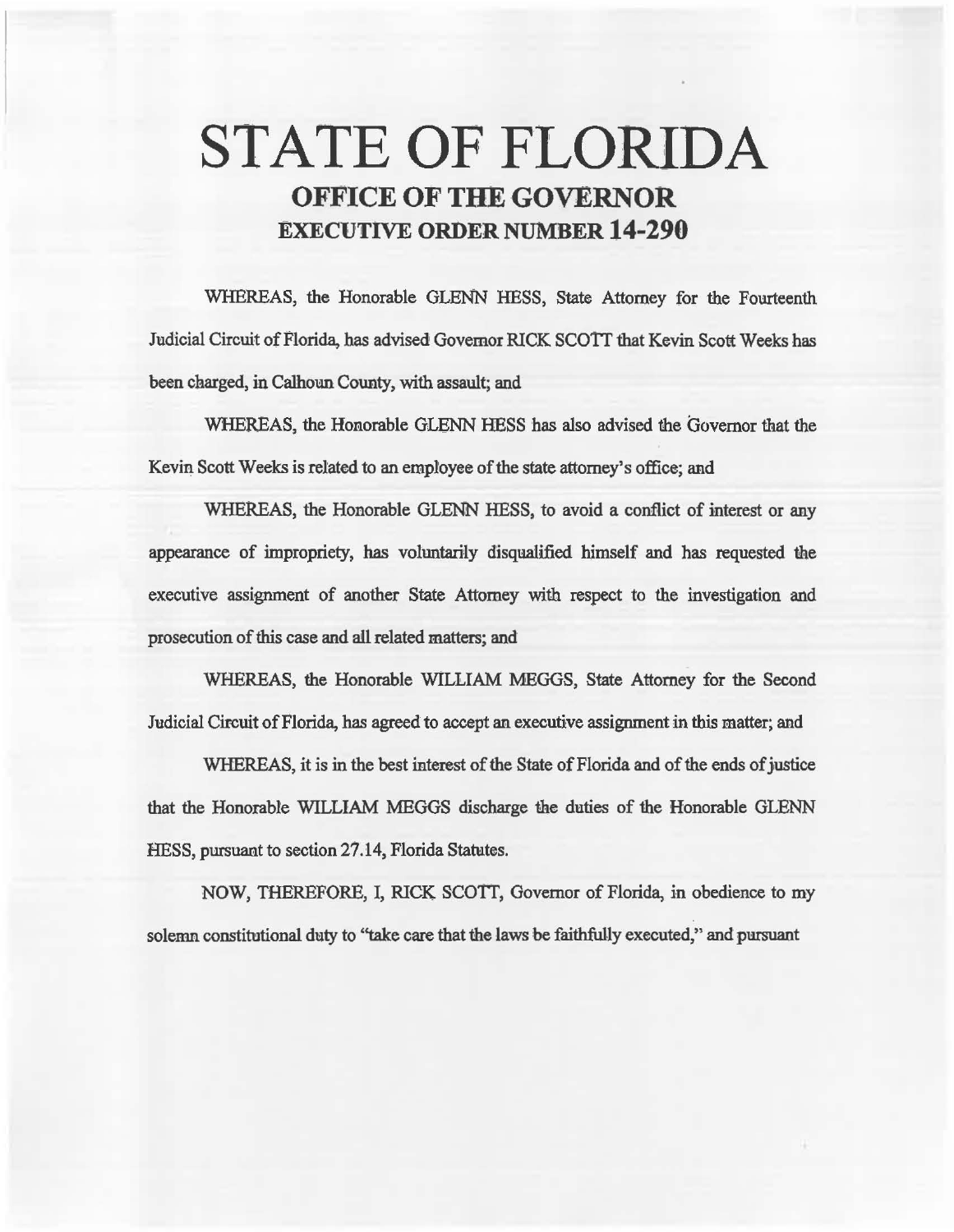# STATE OF FLORIDA OFFICE OF THE GOVERNOR EXECUTIVE ORDER NUMBER 14-290

WHEREAS, the Honorable GLENN HESS, State Attorney for the Fourteenth Judicial Circuit of Florida, has advised Govemor RICK SCOTT that Kevin Scott Weeks has been charged, in Calhoun County, with assault; and

WHEREAS, the Honorable GLENN HESS has also advised the Governor that the Kevin. Scott Weeks is related to an employee of the state attorney's office; and

WHEREAS, the Honorable GLENN HESS, to avoid a conflict of interest or any appearaace of impropriety, has voluntarily disqualified himself and has requested the executive assignment of another State Attorney with respect to the investigation and prosecution of this case and all related matters; and

WHEREAS, the Honorable WILLIAM MEGGS, State Attorney for the Second Judicial Circuit of Florida, has agreed to accept an. executive assignment in this matter; and

WHEREAS, it is in the best interest of the State of Florida and of the ends of justice that the Honorable WILLIAM MEGGS discharge the duties of the Honorable GLENN HESS, pursuant to section 27.14, Florida Statutes.

NOW, THEREFORE, I, RICK SCOTT, Governor of Florida, in obedience to my solemn constitutional duty to "take care that the laws be faithfully executed," and pursuant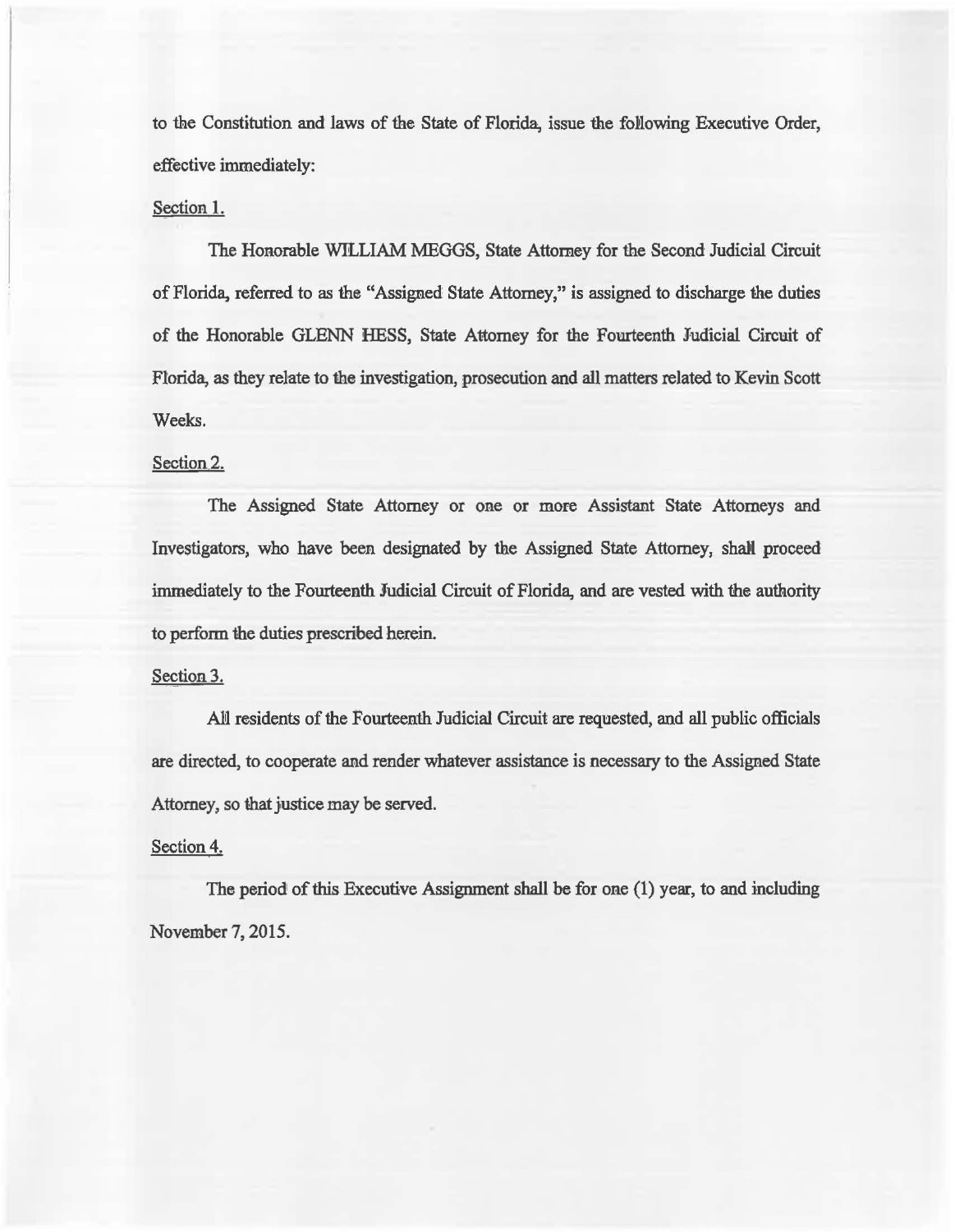to the Constitution and laws of the State of Florida, issue the following Executive Order, effective immediately:

### Section I.

The Honorable WILLIAM MEGGS, State Attorney for the Second Judicial Circuit of Florida, referred to as the "Assigned State Attorney," is assigned to discharge the duties of the Honorable GLENN HESS, State A1tomey for the Fomteenth Judicial Circuit of Florida, as they relate to the investigation, prosecution and all matters related to Kevin Scott Weeks.

## Section<sub>2.</sub>

The Assigned State Attorney or one or more Assistant State Attorneys and Investigators, who have been designated by the Assigned State Attorney, shall proceed immediately to the Fourteenth Judicial Circuit of Florida, and are vested with the authority to perform the duties prescribed herein.

## Section 3.

AN residents of the Fourteenth Judicial Circuit are requested, and all public officials are directed, to cooperate and render whatever assistance is necessary to the Assigned State Attorney, so that justice may be served.

#### Section 4.

The period of this Executive Assignment shall be for one  $(1)$  year, to and including November 7, 2015.